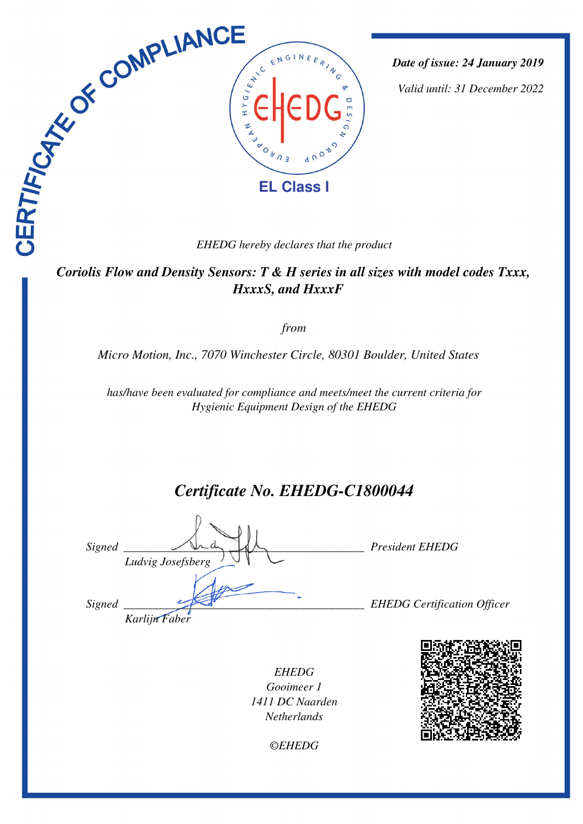

*Date of issue: 24 January 2019*

*Valid until: 31 December 2022*

 *Coriolis Flow and Density Sensors: T & H series in all sizes with model codes Txxx, HxxxS, and HxxxF* 

*from*

*Micro Motion, Inc., 7070 Winchester Circle, 80301 Boulder, United States* 

*has/have been evaluated for compliance and meets/meet the current criteria for Hygienic Equipment Design of the EHEDG*

# *Certificate No. EHEDG-C1800044*

*Signed \_\_\_\_\_\_\_\_\_\_\_\_\_\_\_\_\_\_\_\_\_\_\_\_\_\_\_\_\_\_\_\_\_\_\_\_\_\_\_\_\_ President EHEDG Ludvig Josefsberg Signed \_\_\_\_\_\_\_\_\_\_\_\_\_\_\_\_\_\_\_\_\_\_\_\_\_\_\_\_\_\_\_\_\_\_\_\_\_\_\_\_\_ EHEDG Certification Officer Karlijn Faber*

*EHEDG Gooimeer 1 1411 DC Naarden Netherlands*



*©EHEDG*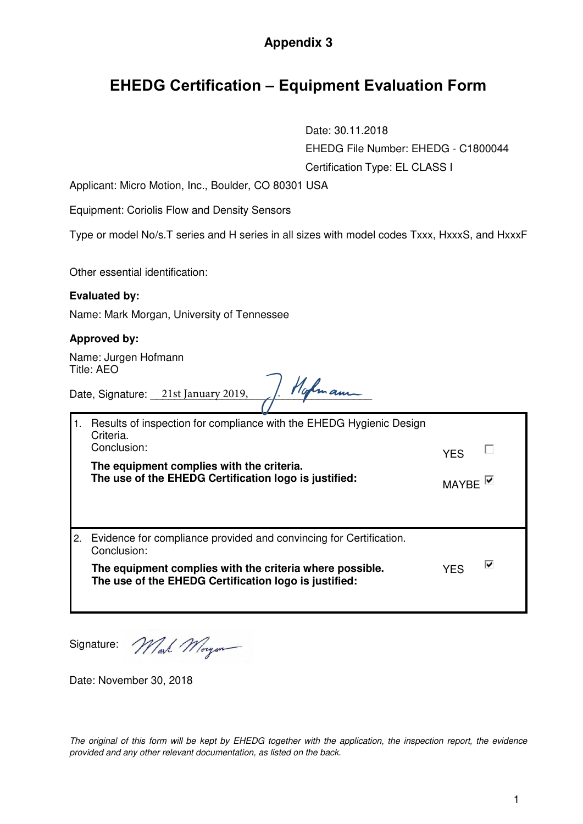### **Appendix 3**

## **EHEDG Certification – Equipment Evaluation Form**

Date: 30.11.2018 EHEDG File Number: EHEDG - C1800044 Certification Type: EL CLASS I

Applicant: Micro Motion, Inc., Boulder, CO 80301 USA

Equipment: Coriolis Flow and Density Sensors

Type or model No/s.T series and H series in all sizes with model codes Txxx, HxxxS, and HxxxF

Other essential identification:

#### **Evaluated by:**

Name: Mark Morgan, University of Tennessee

#### **Approved by:**

Name: Jurgen Hofmann Title: AEO

Date, Signature: \_\_\_\_\_\_\_\_\_\_\_\_\_\_\_\_\_\_\_\_\_\_\_\_\_\_\_\_\_\_\_\_\_\_\_\_\_ 21st January 2019,

| Results of inspection for compliance with the EHEDG Hygienic Design<br>Criteria.<br>Conclusion:<br>The equipment complies with the criteria.<br>The use of the EHEDG Certification logo is justified: | <b>YFS</b>   |   |
|-------------------------------------------------------------------------------------------------------------------------------------------------------------------------------------------------------|--------------|---|
|                                                                                                                                                                                                       | <b>MAYRE</b> |   |
|                                                                                                                                                                                                       |              |   |
| 2. Evidence for compliance provided and convincing for Certification.<br>Conclusion:                                                                                                                  |              |   |
| The equipment complies with the criteria where possible.<br>The use of the EHEDG Certification logo is justified:                                                                                     | YFS          | ⊽ |
|                                                                                                                                                                                                       |              |   |

Signature: Mah. Morgan

Date: November 30, 2018

The original of this form will be kept by EHEDG together with the application, the inspection report, the evidence provided and any other relevant documentation, as listed on the back.